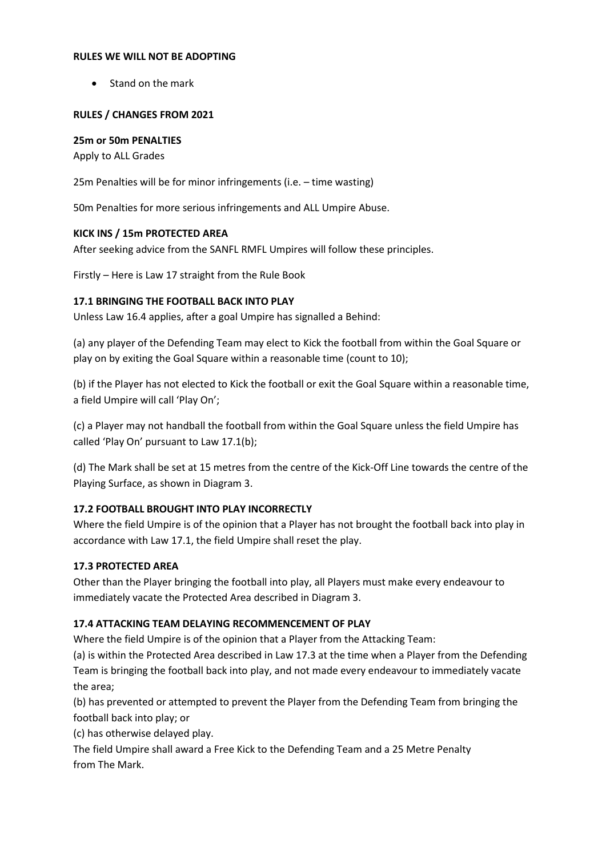#### **RULES WE WILL NOT BE ADOPTING**

• Stand on the mark

### **RULES / CHANGES FROM 2021**

### **25m or 50m PENALTIES**

Apply to ALL Grades

25m Penalties will be for minor infringements (i.e. – time wasting)

50m Penalties for more serious infringements and ALL Umpire Abuse.

### **KICK INS / 15m PROTECTED AREA**

After seeking advice from the SANFL RMFL Umpires will follow these principles.

Firstly – Here is Law 17 straight from the Rule Book

### **17.1 BRINGING THE FOOTBALL BACK INTO PLAY**

Unless Law 16.4 applies, after a goal Umpire has signalled a Behind:

(a) any player of the Defending Team may elect to Kick the football from within the Goal Square or play on by exiting the Goal Square within a reasonable time (count to 10);

(b) if the Player has not elected to Kick the football or exit the Goal Square within a reasonable time, a field Umpire will call 'Play On';

(c) a Player may not handball the football from within the Goal Square unless the field Umpire has called 'Play On' pursuant to Law 17.1(b);

(d) The Mark shall be set at 15 metres from the centre of the Kick-Off Line towards the centre of the Playing Surface, as shown in Diagram 3.

## **17.2 FOOTBALL BROUGHT INTO PLAY INCORRECTLY**

Where the field Umpire is of the opinion that a Player has not brought the football back into play in accordance with Law 17.1, the field Umpire shall reset the play.

## **17.3 PROTECTED AREA**

Other than the Player bringing the football into play, all Players must make every endeavour to immediately vacate the Protected Area described in Diagram 3.

## **17.4 ATTACKING TEAM DELAYING RECOMMENCEMENT OF PLAY**

Where the field Umpire is of the opinion that a Player from the Attacking Team:

(a) is within the Protected Area described in Law 17.3 at the time when a Player from the Defending Team is bringing the football back into play, and not made every endeavour to immediately vacate the area;

(b) has prevented or attempted to prevent the Player from the Defending Team from bringing the football back into play; or

(c) has otherwise delayed play.

The field Umpire shall award a Free Kick to the Defending Team and a 25 Metre Penalty from The Mark.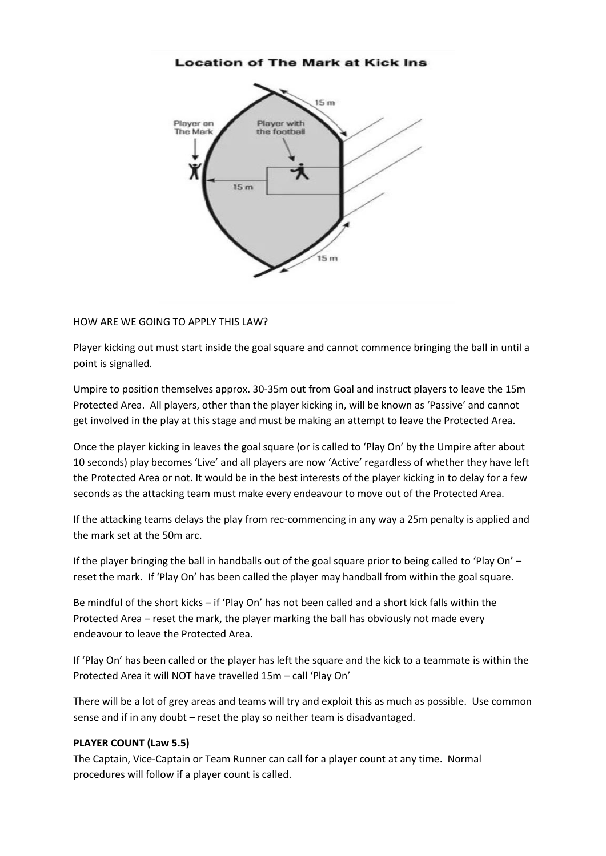

#### HOW ARE WE GOING TO APPLY THIS LAW?

Player kicking out must start inside the goal square and cannot commence bringing the ball in until a point is signalled.

Umpire to position themselves approx. 30-35m out from Goal and instruct players to leave the 15m Protected Area. All players, other than the player kicking in, will be known as 'Passive' and cannot get involved in the play at this stage and must be making an attempt to leave the Protected Area.

Once the player kicking in leaves the goal square (or is called to 'Play On' by the Umpire after about 10 seconds) play becomes 'Live' and all players are now 'Active' regardless of whether they have left the Protected Area or not. It would be in the best interests of the player kicking in to delay for a few seconds as the attacking team must make every endeavour to move out of the Protected Area.

If the attacking teams delays the play from rec-commencing in any way a 25m penalty is applied and the mark set at the 50m arc.

If the player bringing the ball in handballs out of the goal square prior to being called to 'Play On' – reset the mark. If 'Play On' has been called the player may handball from within the goal square.

Be mindful of the short kicks – if 'Play On' has not been called and a short kick falls within the Protected Area – reset the mark, the player marking the ball has obviously not made every endeavour to leave the Protected Area.

If 'Play On' has been called or the player has left the square and the kick to a teammate is within the Protected Area it will NOT have travelled 15m – call 'Play On'

There will be a lot of grey areas and teams will try and exploit this as much as possible. Use common sense and if in any doubt – reset the play so neither team is disadvantaged.

#### **PLAYER COUNT (Law 5.5)**

The Captain, Vice-Captain or Team Runner can call for a player count at any time. Normal procedures will follow if a player count is called.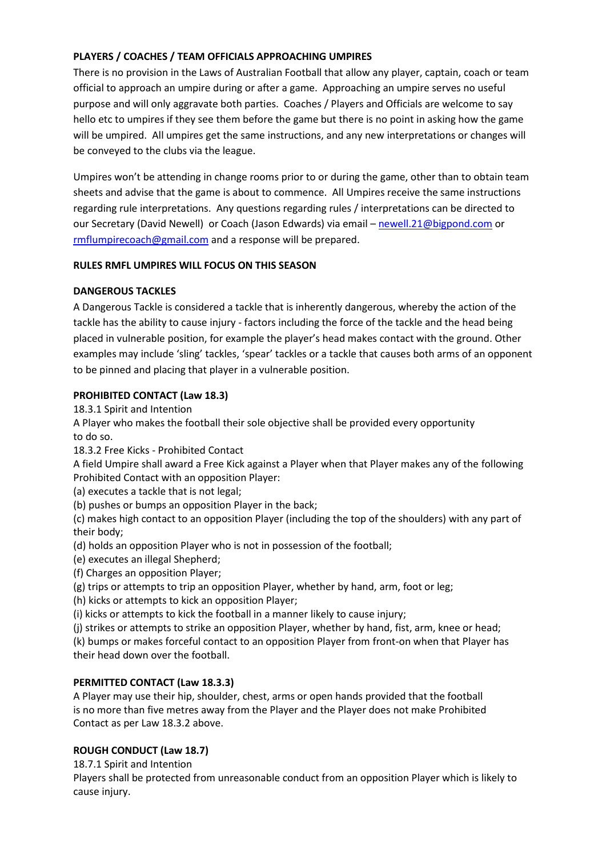# **PLAYERS / COACHES / TEAM OFFICIALS APPROACHING UMPIRES**

There is no provision in the Laws of Australian Football that allow any player, captain, coach or team official to approach an umpire during or after a game. Approaching an umpire serves no useful purpose and will only aggravate both parties. Coaches / Players and Officials are welcome to say hello etc to umpires if they see them before the game but there is no point in asking how the game will be umpired. All umpires get the same instructions, and any new interpretations or changes will be conveyed to the clubs via the league.

Umpires won't be attending in change rooms prior to or during the game, other than to obtain team sheets and advise that the game is about to commence. All Umpires receive the same instructions regarding rule interpretations. Any questions regarding rules / interpretations can be directed to our Secretary (David Newell) or Coach (Jason Edwards) via email – [newell.21@bigpond.com](mailto:newell.21@bigpond.com) or [rmflumpirecoach@gmail.com](mailto:rmflumpirecoach@gmail.com) and a response will be prepared.

## **RULES RMFL UMPIRES WILL FOCUS ON THIS SEASON**

## **DANGEROUS TACKLES**

A Dangerous Tackle is considered a tackle that is inherently dangerous, whereby the action of the tackle has the ability to cause injury - factors including the force of the tackle and the head being placed in vulnerable position, for example the player's head makes contact with the ground. Other examples may include 'sling' tackles, 'spear' tackles or a tackle that causes both arms of an opponent to be pinned and placing that player in a vulnerable position.

### **PROHIBITED CONTACT (Law 18.3)**

18.3.1 Spirit and Intention

A Player who makes the football their sole objective shall be provided every opportunity to do so.

18.3.2 Free Kicks - Prohibited Contact

A field Umpire shall award a Free Kick against a Player when that Player makes any of the following Prohibited Contact with an opposition Player:

(a) executes a tackle that is not legal;

(b) pushes or bumps an opposition Player in the back;

(c) makes high contact to an opposition Player (including the top of the shoulders) with any part of their body;

(d) holds an opposition Player who is not in possession of the football;

(e) executes an illegal Shepherd;

(f) Charges an opposition Player;

(g) trips or attempts to trip an opposition Player, whether by hand, arm, foot or leg;

(h) kicks or attempts to kick an opposition Player;

(i) kicks or attempts to kick the football in a manner likely to cause injury;

(j) strikes or attempts to strike an opposition Player, whether by hand, fist, arm, knee or head;

(k) bumps or makes forceful contact to an opposition Player from front-on when that Player has their head down over the football.

## **PERMITTED CONTACT (Law 18.3.3)**

A Player may use their hip, shoulder, chest, arms or open hands provided that the football is no more than five metres away from the Player and the Player does not make Prohibited Contact as per Law 18.3.2 above.

## **ROUGH CONDUCT (Law 18.7)**

18.7.1 Spirit and Intention

Players shall be protected from unreasonable conduct from an opposition Player which is likely to cause injury.